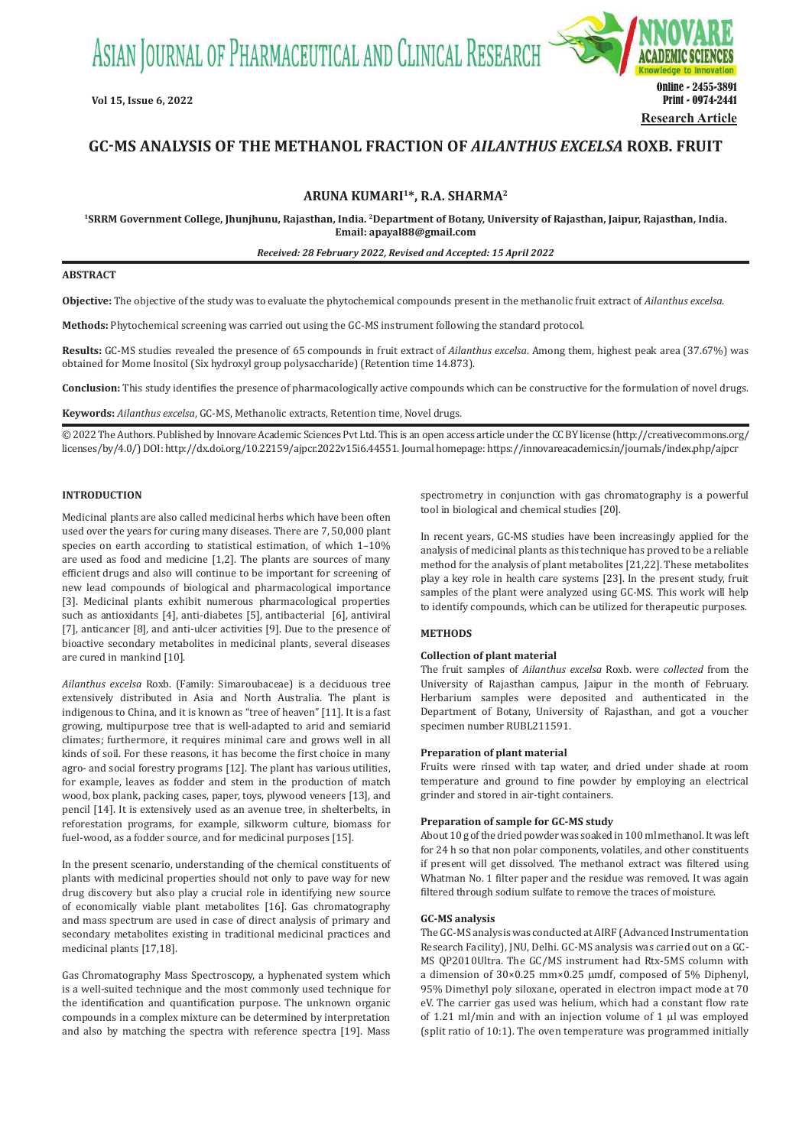ASIAN JOURNAL OF PHARMACEUTICAL AND CLINICAL RESEARCH



# **GC-MS ANALYSIS OF THE METHANOL FRACTION OF** *AILANTHUS EXCELSA* **ROXB. FRUIT**

**ARUNA KUMARI<sup>1</sup>\*, R.A. SHARMA<sup>2</sup>**

**<sup>1</sup>SRRM Government College, Jhunjhunu, Rajasthan, India. <sup>2</sup>Department of Botany, University of Rajasthan, Jaipur, Rajasthan, India. Email: apayal88@gmail.com**

*Received: 28 February 2022, Revised and Accepted: 15 April 2022*

# **ABSTRACT**

**Objective:** The objective of the study was to evaluate the phytochemical compounds present in the methanolic fruit extract of *Ailanthus excelsa*.

**Methods:** Phytochemical screening was carried out using the GC-MS instrument following the standard protocol.

**Results:** GC-MS studies revealed the presence of 65 compounds in fruit extract of *Ailanthus excelsa*. Among them, highest peak area (37.67%) was obtained for Mome Inositol (Six hydroxyl group polysaccharide) (Retention time 14.873).

**Conclusion:** This study identifies the presence of pharmacologically active compounds which can be constructive for the formulation of novel drugs.

**Keywords:** *Ailanthus excelsa*, GC-MS, Methanolic extracts, Retention time, Novel drugs.

© 2022 The Authors. Published by Innovare Academic Sciences Pvt Ltd. This is an open access article under the CC BY license (http://creativecommons.org/ licenses/by/4.0/) DOI: http://dx.doi.org/10.22159/ajpcr.2022v15i6.44551. Journal homepage: https://innovareacademics.in/journals/index.php/ajpcr

### **INTRODUCTION**

Medicinal plants are also called medicinal herbs which have been often used over the years for curing many diseases. There are 7, 50,000 plant species on earth according to statistical estimation, of which 1–10% are used as food and medicine [1,2]. The plants are sources of many efficient drugs and also will continue to be important for screening of new lead compounds of biological and pharmacological importance [3]. Medicinal plants exhibit numerous pharmacological properties such as antioxidants [4], anti-diabetes [5], antibacterial [6], antiviral [7], anticancer [8], and anti-ulcer activities [9]. Due to the presence of bioactive secondary metabolites in medicinal plants, several diseases are cured in mankind [10].

*Ailanthus excelsa* Roxb. (Family: Simaroubaceae) is a deciduous tree extensively distributed in Asia and North Australia. The plant is indigenous to China, and it is known as "tree of heaven" [11]. It is a fast growing, multipurpose tree that is well-adapted to arid and semiarid climates; furthermore, it requires minimal care and grows well in all kinds of soil. For these reasons, it has become the first choice in many agro- and social forestry programs [12]. The plant has various utilities, for example, leaves as fodder and stem in the production of match wood, box plank, packing cases, paper, toys, plywood veneers [13], and pencil [14]. It is extensively used as an avenue tree, in shelterbelts, in reforestation programs, for example, silkworm culture, biomass for fuel-wood, as a fodder source, and for medicinal purposes [15].

In the present scenario, understanding of the chemical constituents of plants with medicinal properties should not only to pave way for new drug discovery but also play a crucial role in identifying new source of economically viable plant metabolites [16]. Gas chromatography and mass spectrum are used in case of direct analysis of primary and secondary metabolites existing in traditional medicinal practices and medicinal plants [17,18].

Gas Chromatography Mass Spectroscopy, a hyphenated system which is a well-suited technique and the most commonly used technique for the identification and quantification purpose. The unknown organic compounds in a complex mixture can be determined by interpretation and also by matching the spectra with reference spectra [19]. Mass spectrometry in conjunction with gas chromatography is a powerful tool in biological and chemical studies [20].

In recent years, GC-MS studies have been increasingly applied for the analysis of medicinal plants as this technique has proved to be a reliable method for the analysis of plant metabolites [21,22]. These metabolites play a key role in health care systems [23]. In the present study, fruit samples of the plant were analyzed using GC-MS. This work will help to identify compounds, which can be utilized for therapeutic purposes.

## **METHODS**

#### **Collection of plant material**

The fruit samples of *Ailanthus excelsa* Roxb. were *collected* from the University of Rajasthan campus, Jaipur in the month of February. Herbarium samples were deposited and authenticated in the Department of Botany, University of Rajasthan, and got a voucher specimen number RUBL211591.

## **Preparation of plant material**

Fruits were rinsed with tap water, and dried under shade at room temperature and ground to fine powder by employing an electrical grinder and stored in air-tight containers.

## **Preparation of sample for GC-MS study**

About 10 g of the dried powder was soaked in 100 ml methanol. It was left for 24 h so that non polar components, volatiles, and other constituents if present will get dissolved. The methanol extract was filtered using Whatman No. 1 filter paper and the residue was removed. It was again filtered through sodium sulfate to remove the traces of moisture.

### **GC-MS analysis**

The GC-MS analysis was conducted at AIRF (Advanced Instrumentation Research Facility), JNU, Delhi. GC-MS analysis was carried out on a GC-MS QP2010Ultra. The GC/MS instrument had Rtx-5MS column with a dimension of 30×0.25 mm×0.25 µmdf, composed of 5% Diphenyl, 95% Dimethyl poly siloxane, operated in electron impact mode at 70 eV. The carrier gas used was helium, which had a constant flow rate of 1.21 ml/min and with an injection volume of 1  $\mu$ l was employed (split ratio of 10:1). The oven temperature was programmed initially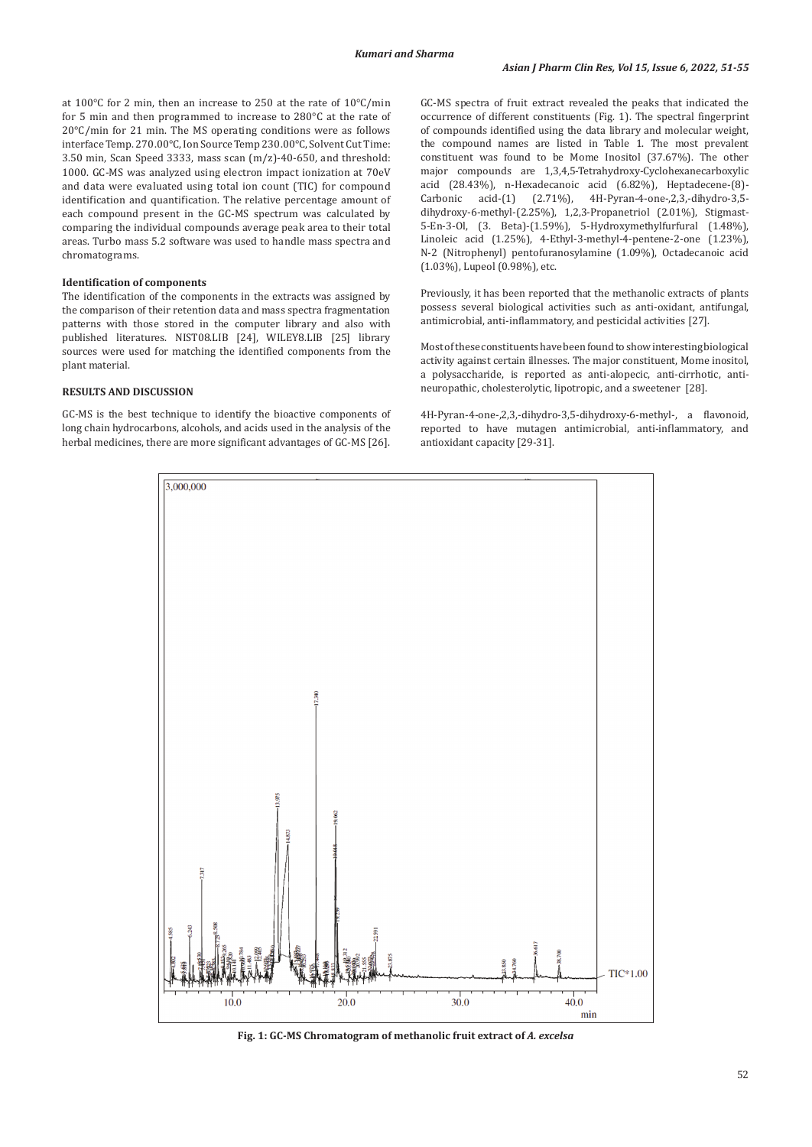at 100°C for 2 min, then an increase to 250 at the rate of 10°C/min for 5 min and then programmed to increase to 280°C at the rate of 20°C/min for 21 min. The MS operating conditions were as follows interface Temp. 270.00°C, Ion Source Temp 230.00°C, Solvent Cut Time: 3.50 min, Scan Speed 3333, mass scan (m/z)-40-650, and threshold: 1000. GC-MS was analyzed using electron impact ionization at 70eV and data were evaluated using total ion count (TIC) for compound identification and quantification. The relative percentage amount of each compound present in the GC-MS spectrum was calculated by comparing the individual compounds average peak area to their total areas. Turbo mass 5.2 software was used to handle mass spectra and chromatograms.

## **Identification of components**

The identification of the components in the extracts was assigned by the comparison of their retention data and mass spectra fragmentation patterns with those stored in the computer library and also with published literatures. NIST08.LIB [24], WILEY8.LIB [25] library sources were used for matching the identified components from the plant material.

### **RESULTS AND DISCUSSION**

GC-MS is the best technique to identify the bioactive components of long chain hydrocarbons, alcohols, and acids used in the analysis of the herbal medicines, there are more significant advantages of GC-MS [26].

GC-MS spectra of fruit extract revealed the peaks that indicated the occurrence of different constituents (Fig. 1). The spectral fingerprint of compounds identified using the data library and molecular weight, the compound names are listed in Table 1. The most prevalent constituent was found to be Mome Inositol (37.67%). The other major compounds are 1,3,4,5-Tetrahydroxy-Cyclohexanecarboxylic acid (28.43%), n-Hexadecanoic acid (6.82%), Heptadecene-(8)- Carbonic acid-(1) (2.71%), 4H-Pyran-4-one-,2,3,-dihydro-3,5 dihydroxy-6-methyl-(2.25%), 1,2,3-Propanetriol (2.01%), Stigmast-5-En-3-Ol, (3. Beta)-(1.59%), 5-Hydroxymethylfurfural (1.48%), Linoleic acid (1.25%), 4-Ethyl-3-methyl-4-pentene-2-one (1.23%), N-2 (Nitrophenyl) pentofuranosylamine (1.09%), Octadecanoic acid (1.03%), Lupeol (0.98%), etc.

Previously, it has been reported that the methanolic extracts of plants possess several biological activities such as anti-oxidant, antifungal, antimicrobial, anti-inflammatory, and pesticidal activities [27].

Most of these constituents have been found to show interesting biological activity against certain illnesses. The major constituent, Mome inositol, a polysaccharide, is reported as anti-alopecic, anti-cirrhotic, antineuropathic, cholesterolytic, lipotropic, and a sweetener [28].

4H-Pyran-4-one-,2,3,-dihydro-3,5-dihydroxy-6-methyl-, a flavonoid, reported to have mutagen antimicrobial, anti-inflammatory, and antioxidant capacity [29-31].



**Fig. 1: GC-MS Chromatogram of methanolic fruit extract of** *A. excelsa*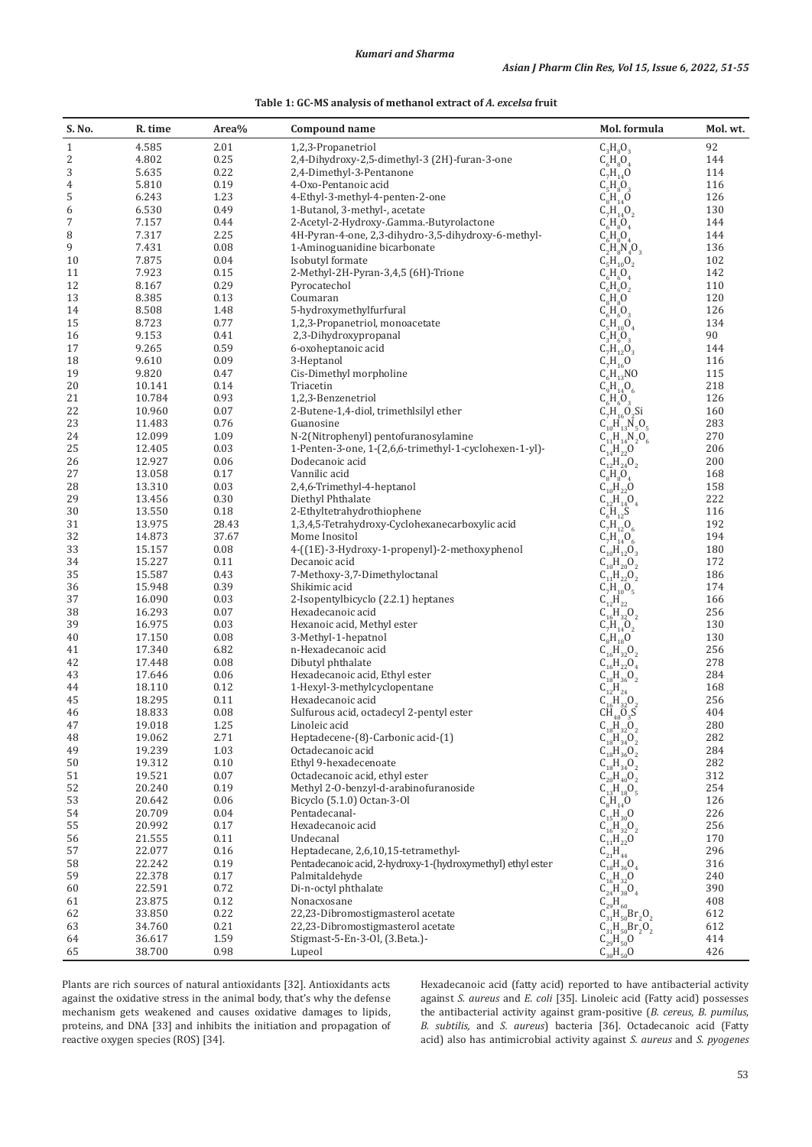| Table 1: GC-MS analysis of methanol extract of A. excelsa fruit |  |  |  |
|-----------------------------------------------------------------|--|--|--|
|-----------------------------------------------------------------|--|--|--|

| S. No.         | R. time          | Area%        | Compound name                                               | Mol. formula                                                                  | Mol. wt.   |
|----------------|------------------|--------------|-------------------------------------------------------------|-------------------------------------------------------------------------------|------------|
| $\mathbf{1}$   | 4.585            | 2.01         | 1,2,3-Propanetriol                                          | $C_3H_8O_3$                                                                   | 92         |
| 2              | 4.802            | 0.25         | 2,4-Dihydroxy-2,5-dimethyl-3 (2H)-furan-3-one               | $C_6H_8O_4$                                                                   | 144        |
| 3              | 5.635            | 0.22         | 2,4-Dimethyl-3-Pentanone                                    | $C_7^{\circ}H_{14}^{\circ}O$                                                  | 114        |
| $\,4\,$        | 5.810            | 0.19         | 4-Oxo-Pentanoic acid                                        | $C_5H_8O_3$                                                                   | 116        |
| 5              | 6.243            | 1.23         | 4-Ethyl-3-methyl-4-penten-2-one                             | $C_8H_{14}O$                                                                  | 126        |
| 6              | 6.530            | 0.49         | 1-Butanol, 3-methyl-, acetate                               | $C_7H_{14}O_2$                                                                | 130        |
| $\overline{7}$ | 7.157            | 0.44         | 2-Acetyl-2-Hydroxy-.Gamma.-Butyrolactone                    | $C_6H_8O_4$                                                                   | 144        |
| 8              | 7.317            | 2.25         | 4H-Pyran-4-one, 2,3-dihydro-3,5-dihydroxy-6-methyl-         | $C_6$ $H_8$ $O_4$                                                             | 144        |
| 9              | 7.431            | 0.08         | 1-Aminoguanidine bicarbonate                                | $C_2H_8N_4O_3$                                                                | 136        |
| 10             | 7.875            | 0.04         | Isobutyl formate                                            | $C_5H_{10}O_2$                                                                | 102        |
| 11             | 7.923            | 0.15         | 2-Methyl-2H-Pyran-3,4,5 (6H)-Trione                         | $C_6H_6O_4$                                                                   | 142        |
| 12             | 8.167            | 0.29         | Pyrocatechol                                                | $C_6$ $H_6$ $O_2$                                                             | 110        |
| 13             | 8.385            | 0.13         | Coumaran                                                    | $C_8$ $H_8$ $O$                                                               | 120        |
| 14             | 8.508            | 1.48         | 5-hydroxymethylfurfural                                     | $C_6$ H <sub>6</sub> O <sub>3</sub>                                           | 126        |
| 15             | 8.723            | 0.77         | 1,2,3-Propanetriol, monoacetate                             | $C_5H_{10}O_4$                                                                | 134        |
| 16             | 9.153            | 0.41         | 2,3-Dihydroxypropanal                                       | $C_3^{\circ}H_6^{\circ}O_3^{\circ}$                                           | 90         |
| 17             | 9.265            | 0.59         | 6-oxoheptanoic acid                                         | $C_7H_{12}O_3$                                                                | 144        |
| 18             | 9.610            | 0.09         | 3-Heptanol                                                  | $C_7H_{16}^{\prime}O$                                                         | 116        |
| 19             | 9.820            | 0.47         | Cis-Dimethyl morpholine                                     | $C_6H_{13}$ NO                                                                | 115        |
| 20             | 10.141           | 0.14         | Triacetin                                                   | $C_9H_{14}O_6$                                                                | 218        |
| 21             | 10.784           | 0.93         | 1,2,3-Benzenetriol                                          | $C_6H_6O_3$                                                                   | 126        |
| 22             | 10.960           | 0.07         | 2-Butene-1,4-diol, trimethlsilyl ether                      | $C_7H_{16}O_2Si$                                                              | 160        |
| 23             | 11.483           | 0.76         | Guanosine                                                   | $C_{10}H_{13}V_5O_5$                                                          | 283        |
| 24             | 12.099           | 1.09         | N-2(Nitrophenyl) pentofuranosylamine                        | $C_{11}H_{14}N_2O_6$                                                          | 270        |
| 25             | 12.405           | 0.03         | 1-Penten-3-one, 1-(2,6,6-trimethyl-1-cyclohexen-1-yl)-      | $C_{14}$ H <sub>22</sub> O                                                    | 206        |
| 26             | 12.927           | 0.06         | Dodecanoic acid                                             | $C_{12}^{\dagger}H_{24}^{\dagger}O_2$                                         | 200        |
| 27<br>28       | 13.058<br>13.310 | 0.17<br>0.03 | Vannilic acid<br>2,4,6-Trimethyl-4-heptanol                 | $C_8H_8O_4$<br>$C_{10}^{^{\circ}}H_{22}^{^{\circ}}O$                          | 168<br>158 |
| 29             | 13.456           | 0.30         | Diethyl Phthalate                                           |                                                                               | 222        |
| 30             | 13.550           | 0.18         | 2-Ethyltetrahydrothiophene                                  | $C_{12}^{10}H_{14}^{12}O_4$                                                   | 116        |
| 31             | 13.975           | 28.43        | 1,3,4,5-Tetrahydroxy-Cyclohexanecarboxylic acid             | $C_6H_{12}S$<br>$C_7^{\circ}H_{12}^{\prime\prime}O_6$                         | 192        |
| 32             | 14.873           | 37.67        | Mome Inositol                                               |                                                                               | 194        |
| 33             | 15.157           | 0.08         | 4-((1E)-3-Hydroxy-1-propenyl)-2-methoxyphenol               | $C_7H_{14}O_6$<br>$C_{10}H_{12}O_3$<br>$C_{10}H_{20}O_2$<br>$C_{11}H_{22}O_2$ | 180        |
| 34             | 15.227           | 0.11         | Decanoic acid                                               |                                                                               | 172        |
| 35             | 15.587           | 0.43         | 7-Methoxy-3,7-Dimethyloctanal                               |                                                                               | 186        |
| 36             | 15.948           | 0.39         | Shikimic acid                                               | $C_7H_{10}O_5$                                                                | 174        |
| 37             | 16.090           | 0.03         | 2-Isopentylbicyclo (2.2.1) heptanes                         | $C_{12}H_{22}$                                                                | 166        |
| 38             | 16.293           | 0.07         | Hexadecanoic acid                                           | $C_{16}$ $H_{32}$ $O_2$                                                       | 256        |
| 39             | 16.975           | 0.03         | Hexanoic acid, Methyl ester                                 |                                                                               | 130        |
| 40             | 17.150           | 0.08         | 3-Methyl-1-hepatnol                                         | $C_7H_{14}O_2$<br>$C_8H_{18}O_2$<br>$C_{16}H_{32}O_2$                         | 130        |
| 41             | 17.340           | 6.82         | n-Hexadecanoic acid                                         |                                                                               | 256        |
| 42             | 17.448           | 0.08         | Dibutyl phthalate                                           | $C_{16}^{10}H_{22}^{12}O_4$                                                   | 278        |
| 43             | 17.646           | 0.06         | Hexadecanoic acid, Ethyl ester                              |                                                                               | 284        |
| 44             | 18.110           | 0.12         | 1-Hexyl-3-methylcyclopentane                                | $C_{16}H_{36}O_2$<br>$C_{12}H_{24}$<br>$C_{16}H_{32}O_2$<br>$CH_{48}O_3S$     | 168        |
| 45             | 18.295           | 0.11         | Hexadecanoic acid                                           |                                                                               | 256        |
| 46             | 18.833           | 0.08         | Sulfurous acid, octadecyl 2-pentyl ester                    |                                                                               | 404        |
| 47             | 19.018           | 1.25         | Linoleic acid                                               | $C_{18}^{48}_{132}O_2$<br>$C_{18}^{41}_{134}O_2$<br>$C_{18}^{41}_{136}O_2$    | 280        |
| 48             | 19.062           | 2.71         | Heptadecene-(8)-Carbonic acid-(1)                           |                                                                               | 282        |
| 49             | 19.239           | 1.03         | Octadecanoic acid                                           |                                                                               | 284        |
| 50             | 19.312           | 0.10         | Ethyl 9-hexadecenoate                                       | $C_{18}H_{34}O_2$                                                             | 282        |
| 51             | 19.521           | 0.07         | Octadecanoic acid, ethyl ester                              | $C_{20}^{^{10}}H_{40}^{^{34}}O_2^2$                                           | 312        |
| 52             | 20.240           | 0.19         | Methyl 2-O-benzyl-d-arabinofuranoside                       | $C_{13}^{3}H_{18}^{10}O_5$                                                    | 254        |
| 53             | 20.642           | 0.06         | Bicyclo (5.1.0) Octan-3-01                                  | $C_8H_{14}O$                                                                  | 126        |
| 54             | 20.709           | 0.04         | Pentadecanal-                                               | $C_{15}^{\circ}H_{30}^{\circ}O$                                               | 226        |
| 55             | 20.992           | 0.17         | Hexadecanoic acid                                           | $C_{16}^{13}H_{32}^{10}O_2$                                                   | 256        |
| 56             | 21.555           | 0.11         | Undecanal                                                   |                                                                               | 170        |
| 57             | 22.077           | 0.16         | Heptadecane, 2,6,10,15-tetramethyl-                         |                                                                               | 296        |
| 58             | 22.242           | 0.19         | Pentadecanoic acid, 2-hydroxy-1-(hydroxymethyl) ethyl ester |                                                                               | 316        |
| 59             | 22.378           | 0.17         | Palmitaldehyde                                              | $C_{16}^{16+32}C_2$<br>$C_{21}H_{44}$<br>$C_{18}H_{36}O_4$<br>$C_{16}H_{32}O$ | 240        |
| 60             | 22.591           | 0.72         | Di-n-octyl phthalate                                        | $C_{24}^{10}H_{38}^{10}O_4$                                                   | 390        |
| 61             | 23.875           | 0.12         | Nonacxosane                                                 | $C_{29}H_{60}$                                                                | 408        |
| 62             | 33.850           | 0.22         | 22,23-Dibromostigmasterol acetate                           | $C_{31}H_{50}Br_2O_2$                                                         | 612        |
| 63             | 34.760           | 0.21         | 22,23-Dibromostigmasterol acetate                           | $C_{31}H_{50}F_2O_2$                                                          | 612        |
| 64             | 36.617           | 1.59         | Stigmast-5-En-3-Ol, (3.Beta.)-                              | $C_{29}H_{50}O$                                                               | 414        |
| 65             | 38.700           | 0.98         | Lupeol                                                      | $C_{30}H_{50}$ <sup>0</sup>                                                   | 426        |

Plants are rich sources of natural antioxidants [32]. Antioxidants acts against the oxidative stress in the animal body, that's why the defense mechanism gets weakened and causes oxidative damages to lipids, proteins, and DNA [33] and inhibits the initiation and propagation of reactive oxygen species (ROS) [34].

Hexadecanoic acid (fatty acid) reported to have antibacterial activity against *S. aureus* and *E. coli* [35]. Linoleic acid (Fatty acid) possesses the antibacterial activity against gram-positive (*B. cereus, B. pumilus*, *B. subtilis,* and *S. aureus*) bacteria [36]. Octadecanoic acid (Fatty acid) also has antimicrobial activity against *S. aureus* and *S. pyogenes*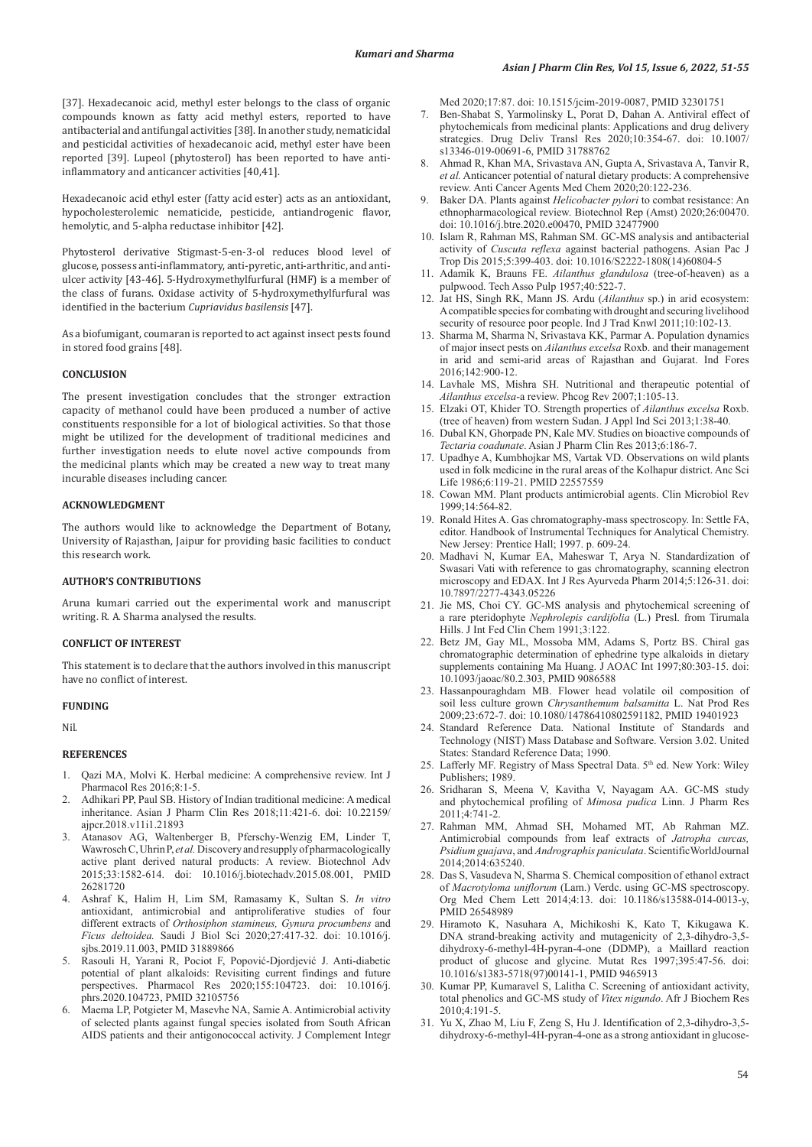[37]. Hexadecanoic acid, methyl ester belongs to the class of organic compounds known as fatty acid methyl esters, reported to have antibacterial and antifungal activities [38]. In another study, nematicidal and pesticidal activities of hexadecanoic acid, methyl ester have been reported [39]. Lupeol (phytosterol) has been reported to have antiinflammatory and anticancer activities [40,41].

Hexadecanoic acid ethyl ester (fatty acid ester) acts as an antioxidant, hypocholesterolemic nematicide, pesticide, antiandrogenic flavor, hemolytic, and 5-alpha reductase inhibitor [42].

Phytosterol derivative Stigmast-5-en-3-ol reduces blood level of glucose, possess anti-inflammatory, anti-pyretic, anti-arthritic, and antiulcer activity [43-46]. 5-Hydroxymethylfurfural (HMF) is a member of the class of furans. Oxidase activity of 5-hydroxymethylfurfural was identified in the bacterium *Cupriavidus basilensis* [47].

As a biofumigant, coumaran is reported to act against insect pests found in stored food grains [48].

## **CONCLUSION**

The present investigation concludes that the stronger extraction capacity of methanol could have been produced a number of active constituents responsible for a lot of biological activities. So that those might be utilized for the development of traditional medicines and further investigation needs to elute novel active compounds from the medicinal plants which may be created a new way to treat many incurable diseases including cancer.

# **ACKNOWLEDGMENT**

The authors would like to acknowledge the Department of Botany, University of Rajasthan, Jaipur for providing basic facilities to conduct this research work.

#### **AUTHOR'S CONTRIBUTIONS**

Aruna kumari carried out the experimental work and manuscript writing. R. A. Sharma analysed the results.

#### **CONFLICT OF INTEREST**

This statement is to declare that the authors involved in this manuscript have no conflict of interest.

## **FUNDING**

Nil.

# **REFERENCES**

- 1. Qazi MA, Molvi K. Herbal medicine: A comprehensive review. Int J Pharmacol Res 2016;8:1-5.
- 2. Adhikari PP, Paul SB. History of Indian traditional medicine: A medical inheritance. Asian J Pharm Clin Res 2018;11:421-6. doi: 10.22159/ ajpcr.2018.v11i1.21893
- 3. Atanasov AG, Waltenberger B, Pferschy-Wenzig EM, Linder T, Wawrosch C, Uhrin P, *et al.* Discovery and resupply of pharmacologically active plant derived natural products: A review. Biotechnol Adv 2015;33:1582-614. doi: 10.1016/j.biotechadv.2015.08.001, PMID 26281720
- 4. Ashraf K, Halim H, Lim SM, Ramasamy K, Sultan S. *In vitro* antioxidant, antimicrobial and antiproliferative studies of four different extracts of *Orthosiphon stamineus, Gynura procumbens* and *Ficus deltoidea.* Saudi J Biol Sci 2020;27:417-32. doi: 10.1016/j. sjbs.2019.11.003, PMID 31889866
- 5. Rasouli H, Yarani R, Pociot F, Popović-Djordjević J. Anti-diabetic potential of plant alkaloids: Revisiting current findings and future perspectives. Pharmacol Res 2020;155:104723. doi: 10.1016/j. phrs.2020.104723, PMID 32105756
- 6. Maema LP, Potgieter M, Masevhe NA, Samie A. Antimicrobial activity of selected plants against fungal species isolated from South African AIDS patients and their antigonococcal activity. J Complement Integr

Med 2020;17:87. doi: 10.1515/jcim-2019-0087, PMID 32301751

- Ben-Shabat S, Yarmolinsky L, Porat D, Dahan A. Antiviral effect of phytochemicals from medicinal plants: Applications and drug delivery strategies. Drug Deliv Transl Res 2020;10:354-67. doi: 10.1007/ s13346-019-00691-6, PMID 31788762
- 8. Ahmad R, Khan MA, Srivastava AN, Gupta A, Srivastava A, Tanvir R, *et al.* Anticancer potential of natural dietary products: A comprehensive review. Anti Cancer Agents Med Chem 2020;20:122-236.
- 9. Baker DA. Plants against *Helicobacter pylori* to combat resistance: An ethnopharmacological review. Biotechnol Rep (Amst) 2020;26:00470. doi: 10.1016/j.btre.2020.e00470, PMID 32477900
- 10. Islam R, Rahman MS, Rahman SM. GC-MS analysis and antibacterial activity of *Cuscuta reflexa* against bacterial pathogens. Asian Pac J Trop Dis 2015;5:399-403. doi: 10.1016/S2222-1808(14)60804-5
- 11. Adamik K, Brauns FE. *Ailanthus glandulosa* (tree-of-heaven) as a pulpwood. Tech Asso Pulp 1957;40:522-7.
- 12. Jat HS, Singh RK, Mann JS. Ardu (*Ailanthus* sp.) in arid ecosystem: Acompatible species for combating with drought and securing livelihood security of resource poor people. Ind J Trad Knwl 2011;10:102-13.
- 13. Sharma M, Sharma N, Srivastava KK, Parmar A. Population dynamics of major insect pests on *Ailanthus excelsa* Roxb. and their management in arid and semi-arid areas of Rajasthan and Gujarat. Ind Fores 2016;142:900-12.
- 14. Lavhale MS, Mishra SH. Nutritional and therapeutic potential of *Ailanthus excelsa*-a review. Phcog Rev 2007;1:105-13.
- 15. Elzaki OT, Khider TO. Strength properties of *Ailanthus excelsa* Roxb. (tree of heaven) from western Sudan. J Appl Ind Sci 2013;1:38-40.
- 16. Dubal KN, Ghorpade PN, Kale MV. Studies on bioactive compounds of *Tectaria coadunate*. Asian J Pharm Clin Res 2013;6:186-7.
- 17. Upadhye A, Kumbhojkar MS, Vartak VD. Observations on wild plants used in folk medicine in the rural areas of the Kolhapur district. Anc Sci Life 1986;6:119-21. PMID 22557559
- 18. Cowan MM. Plant products antimicrobial agents. Clin Microbiol Rev 1999;14:564-82.
- 19. Ronald Hites A. Gas chromatography-mass spectroscopy. In: Settle FA, editor. Handbook of Instrumental Techniques for Analytical Chemistry. New Jersey: Prentice Hall; 1997. p. 609-24.
- 20. Madhavi N, Kumar EA, Maheswar T, Arya N. Standardization of Swasari Vati with reference to gas chromatography, scanning electron microscopy and EDAX. Int J Res Ayurveda Pharm 2014;5:126-31. doi: 10.7897/2277-4343.05226
- 21. Jie MS, Choi CY. GC-MS analysis and phytochemical screening of a rare pteridophyte *Nephrolepis cardifolia* (L.) Presl. from Tirumala Hills. J Int Fed Clin Chem 1991;3:122.
- 22. Betz JM, Gay ML, Mossoba MM, Adams S, Portz BS. Chiral gas chromatographic determination of ephedrine type alkaloids in dietary supplements containing Ma Huang. J AOAC Int 1997;80:303-15. doi: 10.1093/jaoac/80.2.303, PMID 9086588
- 23. Hassanpouraghdam MB. Flower head volatile oil composition of soil less culture grown *Chrysanthemum balsamitta* L. Nat Prod Res 2009;23:672-7. doi: 10.1080/14786410802591182, PMID 19401923
- 24. Standard Reference Data. National Institute of Standards and Technology (NIST) Mass Database and Software. Version 3.02. United States: Standard Reference Data; 1990.
- 25. Lafferly MF. Registry of Mass Spectral Data. 5<sup>th</sup> ed. New York: Wiley Publishers; 1989.
- 26. Sridharan S, Meena V, Kavitha V, Nayagam AA. GC-MS study and phytochemical profiling of *Mimosa pudica* Linn. J Pharm Res 2011;4:741-2.
- 27. Rahman MM, Ahmad SH, Mohamed MT, Ab Rahman MZ. Antimicrobial compounds from leaf extracts of *Jatropha curcas, Psidium guajava*, and *Andrographis paniculata*. ScientificWorldJournal 2014;2014:635240.
- 28. Das S, Vasudeva N, Sharma S. Chemical composition of ethanol extract of *Macrotyloma uniflorum* (Lam.) Verdc. using GC-MS spectroscopy. Org Med Chem Lett 2014;4:13. doi: 10.1186/s13588-014-0013-y, PMID 26548989
- 29. Hiramoto K, Nasuhara A, Michikoshi K, Kato T, Kikugawa K. DNA strand-breaking activity and mutagenicity of 2,3-dihydro-3,5 dihydroxy-6-methyl-4H-pyran-4-one (DDMP), a Maillard reaction product of glucose and glycine. Mutat Res 1997;395:47-56. doi: 10.1016/s1383-5718(97)00141-1, PMID 9465913
- 30. Kumar PP, Kumaravel S, Lalitha C. Screening of antioxidant activity, total phenolics and GC-MS study of *Vitex nigundo*. Afr J Biochem Res  $2010:4:191-5$ .
- 31. Yu X, Zhao M, Liu F, Zeng S, Hu J. Identification of 2,3-dihydro-3,5 dihydroxy-6-methyl-4H-pyran-4-one as a strong antioxidant in glucose-